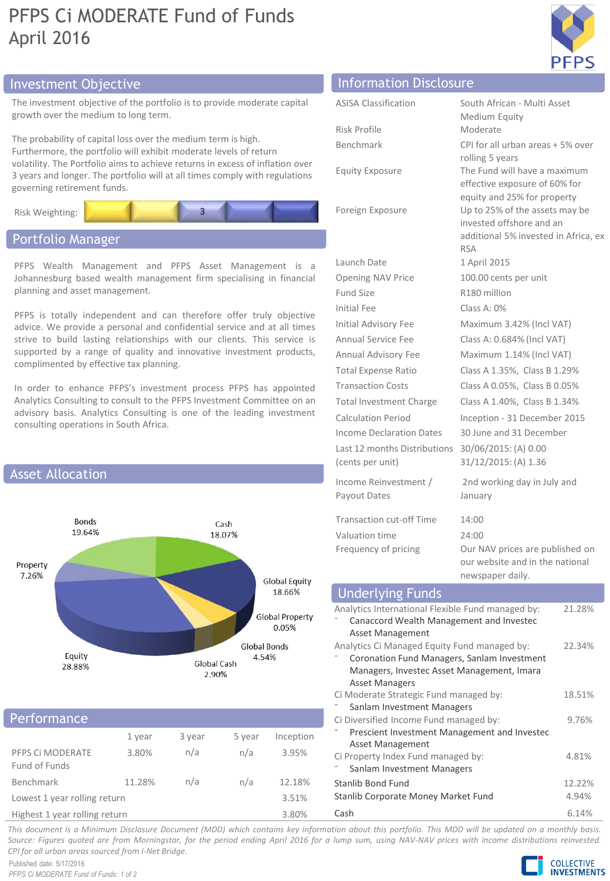# PFPS Ci MODERATE Fund of Funds April 2016



# Investment Objective Information Disclosure

The investment objective of the portfolio is to provide moderate capital growth over the medium to long term.

The probability of capital loss over the medium term is high. Furthermore, the portfolio will exhibit moderate levels of return volatility. The Portfolio aims to achieve returns in excess of inflation over 3 years and longer. The portfolio will at all times comply with regulations governing retirement funds.



## Portfolio Manager

PFPS Wealth Management and PFPS Asset Management is a Johannesburg based wealth management firm specialising in financial planning and asset management.

PFPS is totally independent and can therefore offer truly objective advice. We provide a personal and confidential service and at all times strive to build lasting relationships with our clients. This service is supported by a range of quality and innovative investment products, complimented by effective tax planning.

In order to enhance PFPS's investment process PFPS has appointed Analytics Consulting to consult to the PFPS Investment Committee on an advisory basis. Analytics Consulting is one of the leading investment consulting operations in South Africa.



## Performance

|                                   | 1 year | 3 year | 5 year | Inception |
|-----------------------------------|--------|--------|--------|-----------|
| PFPS CI MODERATE<br>Fund of Funds | 3.80%  | n/a    | n/a    | 3.95%     |
| Benchmark                         | 11.28% | n/a    | n/a    | 12.18%    |
| Lowest 1 year rolling return      |        |        |        | 3.51%     |
| Highest 1 year rolling return     |        |        |        | 3.80%     |

| <b>ASISA Classification</b>                                                                 | South African - Multi Asset                                   |  |  |
|---------------------------------------------------------------------------------------------|---------------------------------------------------------------|--|--|
| Risk Profile                                                                                | Medium Equity<br>Moderate                                     |  |  |
| Benchmark                                                                                   | CPI for all urban areas + 5% over                             |  |  |
|                                                                                             | rolling 5 years                                               |  |  |
| <b>Equity Exposure</b>                                                                      | The Fund will have a maximum                                  |  |  |
|                                                                                             | effective exposure of 60% for                                 |  |  |
| Foreign Exposure                                                                            | equity and 25% for property<br>Up to 25% of the assets may be |  |  |
|                                                                                             | invested offshore and an                                      |  |  |
|                                                                                             | additional 5% invested in Africa, ex                          |  |  |
|                                                                                             | <b>RSA</b>                                                    |  |  |
| Launch Date                                                                                 | 1 April 2015                                                  |  |  |
| Opening NAV Price                                                                           | 100.00 cents per unit                                         |  |  |
| Fund Size                                                                                   | R180 million                                                  |  |  |
| <b>Initial Fee</b>                                                                          | Class A: 0%                                                   |  |  |
| Initial Advisory Fee                                                                        | Maximum 3.42% (Incl VAT)                                      |  |  |
| Annual Service Fee                                                                          | Class A: 0.684% (Incl VAT)                                    |  |  |
| Annual Advisory Fee                                                                         | Maximum 1.14% (Incl VAT)                                      |  |  |
| <b>Total Expense Ratio</b>                                                                  | Class A 1.35%, Class B 1.29%                                  |  |  |
| <b>Transaction Costs</b>                                                                    | Class A 0.05%, Class B 0.05%                                  |  |  |
| <b>Total Investment Charge</b>                                                              | Class A 1.40%, Class B 1.34%                                  |  |  |
| Calculation Period                                                                          | Inception - 31 December 2015                                  |  |  |
| Income Declaration Dates                                                                    | 30 June and 31 December                                       |  |  |
| Last 12 months Distributions                                                                | 30/06/2015: (A) 0.00                                          |  |  |
| (cents per unit)                                                                            | 31/12/2015: (A) 1.36                                          |  |  |
| Income Reinvestment /                                                                       | 2nd working day in July and                                   |  |  |
| Payout Dates                                                                                | January                                                       |  |  |
| Transaction cut-off Time                                                                    | 14:00                                                         |  |  |
| Valuation time                                                                              | 24:00                                                         |  |  |
| Frequency of pricing                                                                        | Our NAV prices are published on                               |  |  |
|                                                                                             | our website and in the national                               |  |  |
|                                                                                             | newspaper daily.                                              |  |  |
| <b>Underlying Funds</b><br>tional Flouible Fund monogod but<br>21200/<br>$0$ not this later |                                                               |  |  |

| 21.28% |
|--------|
|        |
|        |
| 22.34% |
|        |
|        |
|        |
| 18.51% |
|        |
| 9.76%  |
|        |
|        |
| 4.81%  |
|        |
| 12.22% |
| 4.94%  |
|        |

Cash 6.14%

This document is a Minimum Disclosure Document (MDD) which contains key information about this portfolio. This MDD will be updated on a monthly basis. Source: Figures quoted are from Morningstar, for the period ending April 2016 for a lump sum, using NAV-NAV prices with income distributions reinvested. *CPI for all urban areas sourced from I-Net Bridge.*

Published date: 5/17/2016 *PFPS Ci MODERATE Fund of Funds: 1 of 2*